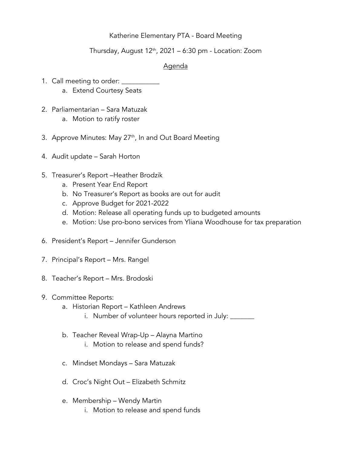# Katherine Elementary PTA - Board Meeting

# Thursday, August  $12<sup>th</sup>$ , 2021 – 6:30 pm - Location: Zoom

# Agenda

- 1. Call meeting to order: \_\_\_\_\_
	- a. Extend Courtesy Seats
- 2. Parliamentarian Sara Matuzak a. Motion to ratify roster
- 3. Approve Minutes: May 27<sup>th</sup>, In and Out Board Meeting
- 4. Audit update Sarah Horton
- 5. Treasurer's Report –Heather Brodzik
	- a. Present Year End Report
	- b. No Treasurer's Report as books are out for audit
	- c. Approve Budget for 2021-2022
	- d. Motion: Release all operating funds up to budgeted amounts
	- e. Motion: Use pro-bono services from Yliana Woodhouse for tax preparation
- 6. President's Report Jennifer Gunderson
- 7. Principal's Report Mrs. Rangel
- 8. Teacher's Report Mrs. Brodoski
- 9. Committee Reports:
	- a. Historian Report Kathleen Andrews
		- i. Number of volunteer hours reported in July: \_\_\_\_\_\_\_
	- b. Teacher Reveal Wrap-Up Alayna Martino
		- i. Motion to release and spend funds?
	- c. Mindset Mondays Sara Matuzak
	- d. Croc's Night Out Elizabeth Schmitz
	- e. Membership Wendy Martin
		- i. Motion to release and spend funds